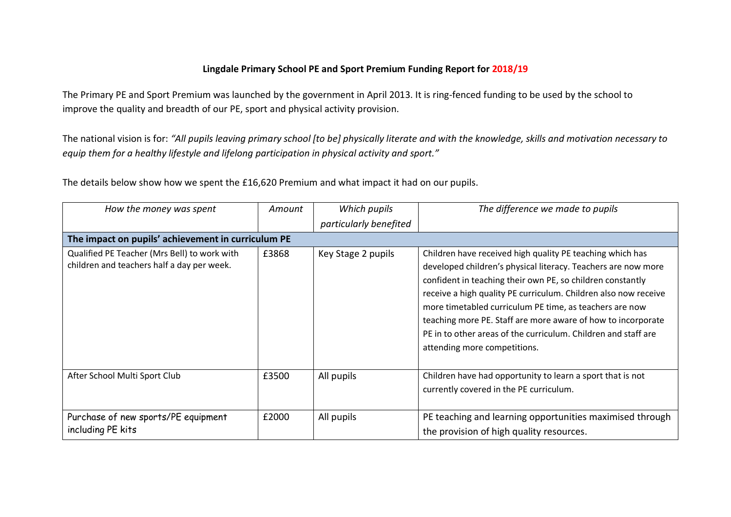## **Lingdale Primary School PE and Sport Premium Funding Report for 2018/19**

The Primary PE and Sport Premium was launched by the government in April 2013. It is ring-fenced funding to be used by the school to improve the quality and breadth of our PE, sport and physical activity provision.

The national vision is for: *"All pupils leaving primary school [to be] physically literate and with the knowledge, skills and motivation necessary to equip them for a healthy lifestyle and lifelong participation in physical activity and sport."*

The details below show how we spent the £16,620 Premium and what impact it had on our pupils.

| How the money was spent                                                                    | Amount | Which pupils           | The difference we made to pupils                                                                                                                                                                                                                                                                                                                                                                                                                                                         |  |  |
|--------------------------------------------------------------------------------------------|--------|------------------------|------------------------------------------------------------------------------------------------------------------------------------------------------------------------------------------------------------------------------------------------------------------------------------------------------------------------------------------------------------------------------------------------------------------------------------------------------------------------------------------|--|--|
|                                                                                            |        | particularly benefited |                                                                                                                                                                                                                                                                                                                                                                                                                                                                                          |  |  |
| The impact on pupils' achievement in curriculum PE                                         |        |                        |                                                                                                                                                                                                                                                                                                                                                                                                                                                                                          |  |  |
| Qualified PE Teacher (Mrs Bell) to work with<br>children and teachers half a day per week. | £3868  | Key Stage 2 pupils     | Children have received high quality PE teaching which has<br>developed children's physical literacy. Teachers are now more<br>confident in teaching their own PE, so children constantly<br>receive a high quality PE curriculum. Children also now receive<br>more timetabled curriculum PE time, as teachers are now<br>teaching more PE. Staff are more aware of how to incorporate<br>PE in to other areas of the curriculum. Children and staff are<br>attending more competitions. |  |  |
| After School Multi Sport Club                                                              | £3500  | All pupils             | Children have had opportunity to learn a sport that is not<br>currently covered in the PE curriculum.                                                                                                                                                                                                                                                                                                                                                                                    |  |  |
| Purchase of new sports/PE equipment<br>including PE kits                                   | £2000  | All pupils             | PE teaching and learning opportunities maximised through<br>the provision of high quality resources.                                                                                                                                                                                                                                                                                                                                                                                     |  |  |